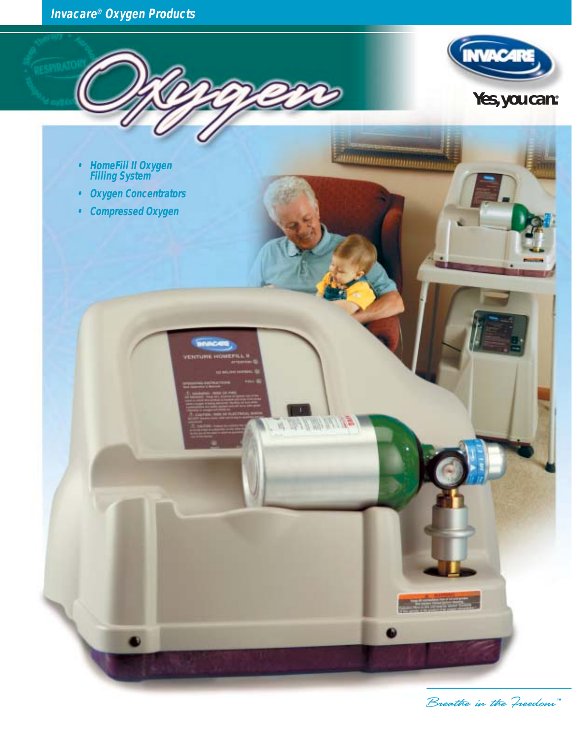

Breathe in the Freedom™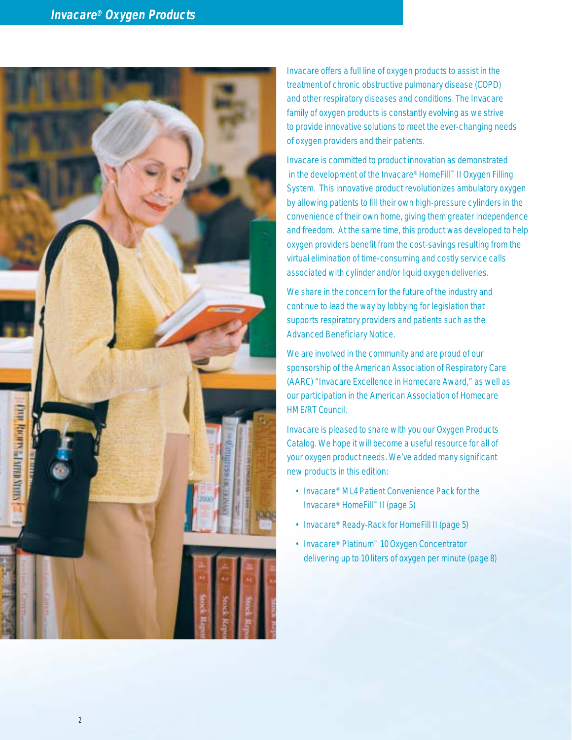

Invacare offers a full line of oxygen products to assist in the treatment of chronic obstructive pulmonary disease (COPD) and other respiratory diseases and conditions. The Invacare family of oxygen products is constantly evolving as we strive to provide innovative solutions to meet the ever-changing needs of oxygen providers and their patients.

Invacare is committed to product innovation as demonstrated in the development of the Invacare® HomeFill™ II Oxygen Filling System. This innovative product revolutionizes ambulatory oxygen by allowing patients to fill their own high-pressure cylinders in the convenience of their own home, giving them greater independence and freedom. At the same time, this product was developed to help oxygen providers benefit from the cost-savings resulting from the virtual elimination of time-consuming and costly service calls associated with cylinder and/or liquid oxygen deliveries.

We share in the concern for the future of the industry and continue to lead the way by lobbying for legislation that supports respiratory providers and patients such as the Advanced Beneficiary Notice.

We are involved in the community and are proud of our sponsorship of the American Association of Respiratory Care (AARC) "Invacare Excellence in Homecare Award," as well as our participation in the American Association of Homecare HME/RT Council.

Invacare is pleased to share with you our Oxygen Products Catalog. We hope it will become a useful resource for all of your oxygen product needs. We've added many significant new products in this edition:

- Invacare® ML4 Patient Convenience Pack for the Invacare® HomeFill™ II (page 5)
- Invacare® Ready-Rack for HomeFill II (page 5)
- Invacare® Platinum™ 10 Oxygen Concentrator delivering up to 10 liters of oxygen per minute (page 8)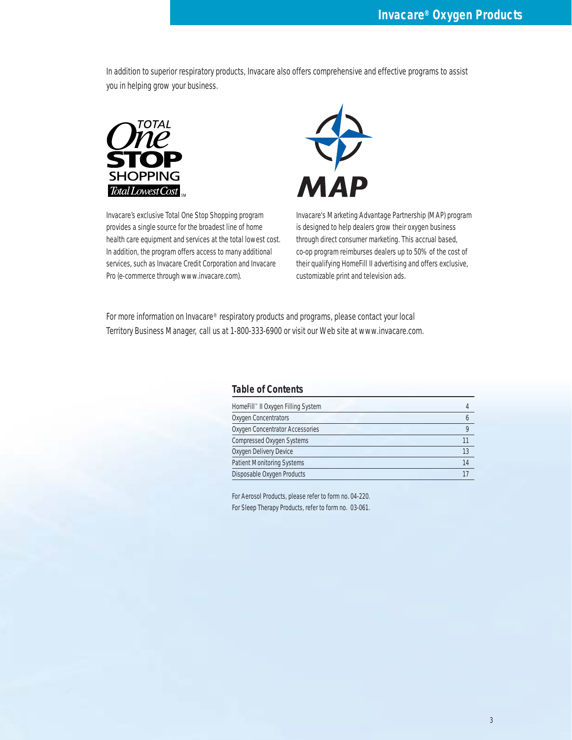In addition to superior respiratory products, Invacare also offers comprehensive and effective programs to assist you in helping grow your business.



Invacare's exclusive Total One Stop Shopping program provides a single source for the broadest line of home health care equipment and services at the total lowest cost. In addition, the program offers access to many additional services, such as Invacare Credit Corporation and Invacare Pro (e-commerce through www.invacare.com).

Invacare's Marketing Advantage Partnership (MAP) program is designed to help dealers grow their oxygen business through direct consumer marketing. This accrual based, co-op program reimburses dealers up to 50% of the cost of their qualifying HomeFill II advertising and offers exclusive, customizable print and television ads.

For more information on Invacare® respiratory products and programs, please contact your local Territory Business Manager, call us at 1-800-333-6900 or visit our Web site at www.invacare.com.

## **Table of Contents**

| HomeFill™ II Oxygen Filling System |    |
|------------------------------------|----|
| Oxygen Concentrators               |    |
| Oxygen Concentrator Accessories    |    |
| <b>Compressed Oxygen Systems</b>   |    |
| Oxygen Delivery Device             | 13 |
| <b>Patient Monitoring Systems</b>  | 14 |
| Disposable Oxygen Products         |    |

For Aerosol Products, please refer to form no. 04-220. For Sleep Therapy Products, refer to form no. 03-061.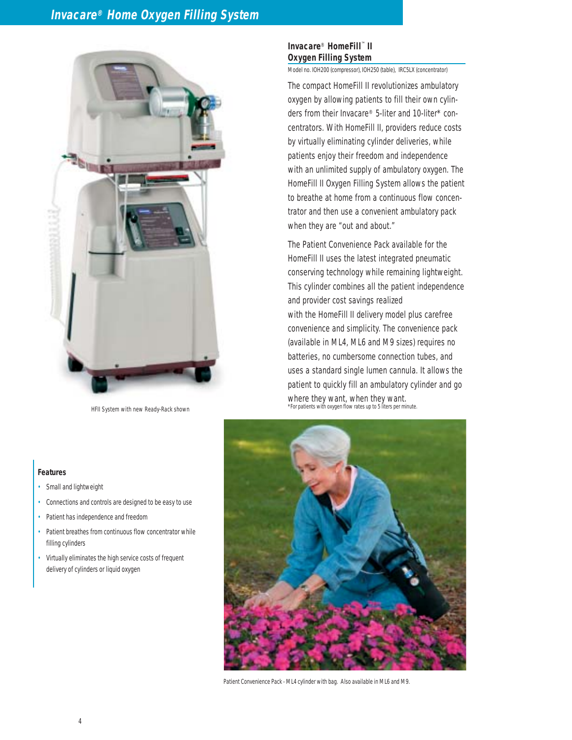# **Invacare® Home Oxygen Filling System**



HFII System with new Ready-Rack shown

# **Invacare**® **HomeFill**™ **II Oxygen Filling System**

Model no. IOH200 (compressor), IOH250 (table), IRC5LX (concentrator)

The compact HomeFill II revolutionizes ambulatory oxygen by allowing patients to fill their own cylinders from their Invacare® 5-liter and 10-liter\* concentrators. With HomeFill II, providers reduce costs by virtually eliminating cylinder deliveries, while patients enjoy their freedom and independence with an unlimited supply of ambulatory oxygen. The HomeFill II Oxygen Filling System allows the patient to breathe at home from a continuous flow concentrator and then use a convenient ambulatory pack when they are "out and about."

The Patient Convenience Pack available for the HomeFill II uses the latest integrated pneumatic conserving technology while remaining lightweight. This cylinder combines all the patient independence and provider cost savings realized with the HomeFill II delivery model plus carefree convenience and simplicity. The convenience pack (available in ML4, ML6 and M9 sizes) requires no batteries, no cumbersome connection tubes, and uses a standard single lumen cannula. It allows the patient to quickly fill an ambulatory cylinder and go where they want, when they want.

\*For patients with oxygen flow rates up to 5 liters per minute.



Patient Convenience Pack - ML4 cylinder with bag. Also available in ML6 and M9.

#### **Features**

- Small and lightweight
- Connections and controls are designed to be easy to use
- Patient has independence and freedom
- Patient breathes from continuous flow concentrator while filling cylinders
- Virtually eliminates the high service costs of frequent delivery of cylinders or liquid oxygen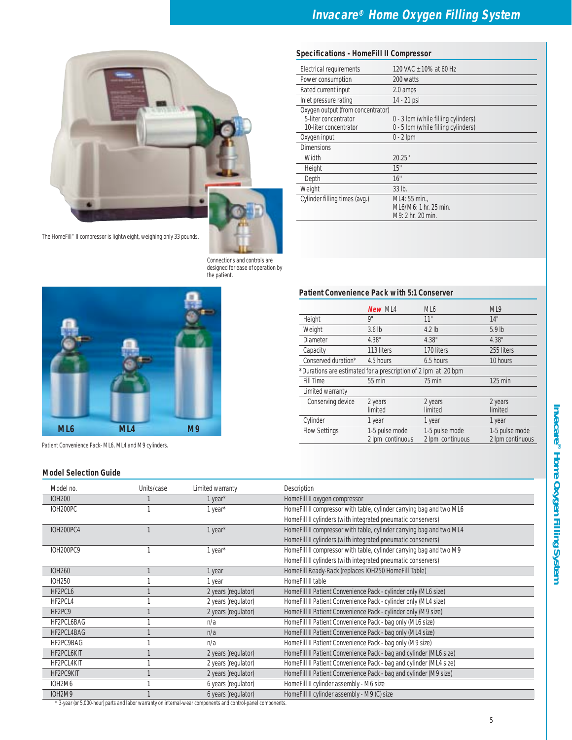

The HomeFill™ II compressor is lightweight, weighing only 33 pounds.



Connections and controls are designed for ease of operation by the patient.



Patient Convenience Pack- ML6, ML4 and M9 cylinders.

# **Specifications - HomeFill II Compressor**

| <b>Electrical requirements</b>    | 120 VAC ± 10% at 60 Hz              |
|-----------------------------------|-------------------------------------|
| Power consumption                 | 200 watts                           |
| Rated current input               | 2.0 amps                            |
| Inlet pressure rating             | 14 - 21 psi                         |
| Oxygen output (from concentrator) |                                     |
| 5-liter concentrator              | 0 - 3 lpm (while filling cylinders) |
| 10-liter concentrator             | 0 - 5 lpm (while filling cylinders) |
| Oxygen input                      | $0 - 2$ lpm                         |
| <b>Dimensions</b>                 |                                     |
| Width                             | 20.25"                              |
| Height                            | 15"                                 |
| Depth                             | 16"                                 |
| Weight                            | $33$ lb.                            |
| Cylinder filling times (avg.)     | ML4: 55 min                         |
|                                   | MI 6/M6: 1 hr. 25 min.              |
|                                   | M9: 2 hr. 20 min.                   |

| <b>Patient Convenience Pack with 5:1 Conserver</b>             |                                    |                                    |                                    |  |
|----------------------------------------------------------------|------------------------------------|------------------------------------|------------------------------------|--|
|                                                                | <b>New ML4</b>                     | ML6                                | ML9                                |  |
| Height                                                         | g"                                 | 11"                                | 14"                                |  |
| Weight                                                         | 3.6 <sub>lb</sub>                  | $4.2$ lb                           | $5.9$ lb                           |  |
| Diameter                                                       | 4.38"                              | 4.38"                              | 4.38"                              |  |
| Capacity                                                       | 113 liters                         | 170 liters                         | 255 liters                         |  |
| Conserved duration*                                            | 4.5 hours                          | 6.5 hours                          | 10 hours                           |  |
| *Durations are estimated for a prescription of 2 lpm at 20 bpm |                                    |                                    |                                    |  |
| Fill Time                                                      | 55 min                             | 75 min                             | $125$ min                          |  |
| Limited warranty                                               |                                    |                                    |                                    |  |
| Conserving device                                              | 2 years<br>limited                 | 2 years<br>limited                 | 2 years<br>limited                 |  |
| Cylinder                                                       | 1 year                             | 1 year                             | 1 year                             |  |
| <b>Flow Settings</b>                                           | 1-5 pulse mode<br>2 Ipm continuous | 1-5 pulse mode<br>2 Ipm continuous | 1-5 pulse mode<br>2 Ipm continuous |  |

## **Model Selection Guide**

| Model no.                       | Units/case | Limited warranty    | Description                                                          |
|---------------------------------|------------|---------------------|----------------------------------------------------------------------|
| <b>IOH200</b>                   |            | 1 year*             | HomeFill II oxygen compressor                                        |
| IOH200PC                        |            | 1 year*             | HomeFill II compressor with table, cylinder carrying bag and two ML6 |
|                                 |            |                     | HomeFill II cylinders (with integrated pneumatic conservers)         |
| <b>IOH200PC4</b>                |            | 1 year*             | HomeFill II compressor with table, cylinder carrying bag and two ML4 |
|                                 |            |                     | HomeFill II cylinders (with integrated pneumatic conservers)         |
| <b>IOH200PC9</b>                |            | 1 year*             | HomeFill II compressor with table, cylinder carrying bag and two M9  |
|                                 |            |                     | HomeFill II cylinders (with integrated pneumatic conservers)         |
| <b>IOH260</b>                   |            | 1 year              | HomeFill Ready-Rack (replaces IOH250 HomeFill Table)                 |
| <b>IOH250</b>                   |            | 1 year              | HomeFill II table                                                    |
| HF2PCL6                         |            | 2 years (regulator) | HomeFill II Patient Convenience Pack - cylinder only (ML6 size)      |
| HF2PCL4                         |            | 2 years (regulator) | HomeFill II Patient Convenience Pack - cylinder only (ML4 size)      |
| HF2PC9                          |            | 2 years (regulator) | HomeFill II Patient Convenience Pack - cylinder only (M9 size)       |
| HF2PCL6BAG                      |            | n/a                 | HomeFill II Patient Convenience Pack - bag only (ML6 size)           |
| HF2PCL4BAG                      |            | n/a                 | HomeFill II Patient Convenience Pack - bag only (ML4 size)           |
| HF2PC9BAG                       |            | n/a                 | HomeFill II Patient Convenience Pack - bag only (M9 size)            |
| HF2PCL6KIT                      |            | 2 years (regulator) | HomeFill II Patient Convenience Pack - bag and cylinder (ML6 size)   |
| HF2PCL4KIT                      |            | 2 years (regulator) | HomeFill II Patient Convenience Pack - bag and cylinder (ML4 size)   |
| HF2PC9KIT                       |            | 2 years (regulator) | HomeFill II Patient Convenience Pack - bag and cylinder (M9 size)    |
| IOH <sub>2</sub> M <sub>6</sub> |            | 6 years (regulator) | HomeFill II cylinder assembly - M6 size                              |
| IOH <sub>2M9</sub>              |            | 6 years (regulator) | HomeFill II cylinder assembly - M9 (C) size                          |

\* 3-year (or 5,000-hour) parts and labor warranty on internal-wear components and control-panel components.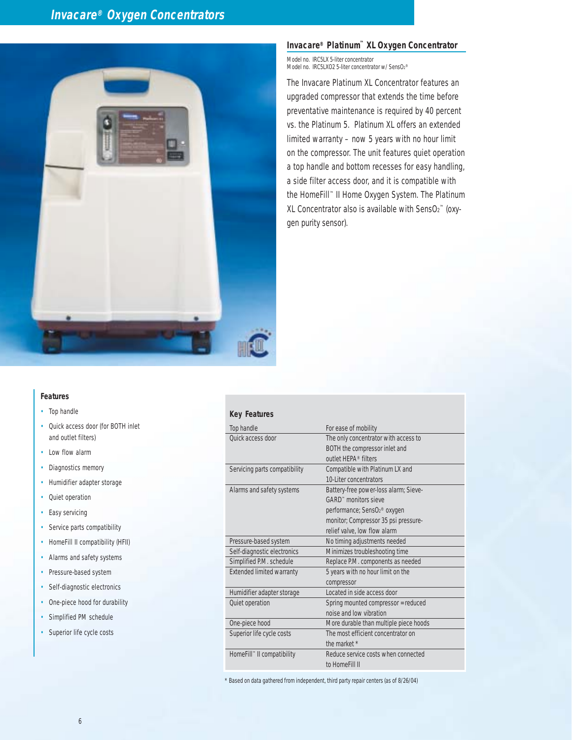

# **Invacare® Platinum™ XL Oxygen Concentrator**

Model no. IRC5LX 5-liter concentrator Model no. IRC5LXO2 5-liter concentrator w/ SensO<sub>2®</sub>

The Invacare Platinum XL Concentrator features an upgraded compressor that extends the time before preventative maintenance is required by 40 percent vs. the Platinum 5. Platinum XL offers an extended limited warranty – now 5 years with no hour limit on the compressor. The unit features quiet operation a top handle and bottom recesses for easy handling, a side filter access door, and it is compatible with the HomeFill™ II Home Oxygen System. The Platinum XL Concentrator also is available with SensO2™ (oxygen purity sensor).

#### **Features**

- Top handle
- Quick access door (for BOTH inlet and outlet filters)
- Low flow alarm
- Diagnostics memory
- Humidifier adapter storage
- Quiet operation
- Easy servicing
- Service parts compatibility
- HomeFill II compatibility (HFII)
- Alarms and safety systems
- Pressure-based system
- Self-diagnostic electronics
- One-piece hood for durability
- Simplified PM schedule
- Superior life cycle costs

#### **Key Features**

| Top handle                       | For ease of mobility                    |
|----------------------------------|-----------------------------------------|
| <b>Ouick access door</b>         | The only concentrator with access to    |
|                                  | BOTH the compressor inlet and           |
|                                  | outlet HFPA® filters                    |
| Servicing parts compatibility    | Compatible with Platinum LX and         |
|                                  | 10-Liter concentrators                  |
| Alarms and safety systems        | Battery-free power-loss alarm; Sieve-   |
|                                  | GARD™ monitors sieve                    |
|                                  | performance; SensO <sub>2®</sub> oxygen |
|                                  | monitor; Compressor 35 psi pressure-    |
|                                  | relief valve, low flow alarm            |
| Pressure-based system            | No timing adjustments needed            |
| Self-diagnostic electronics      | Minimizes troubleshooting time          |
| Simplified P.M. schedule         | Replace P.M. components as needed       |
| <b>Extended limited warranty</b> | 5 years with no hour limit on the       |
|                                  | compressor                              |
| Humidifier adapter storage       | Located in side access door             |
| Quiet operation                  | Spring mounted compressor = reduced     |
|                                  | noise and low vibration                 |
| One-piece hood                   | More durable than multiple piece hoods  |
| Superior life cycle costs        | The most efficient concentrator on      |
|                                  | the market *                            |
| HomeFill™ II compatibility       | Reduce service costs when connected     |
|                                  | to HomeFill II                          |
|                                  |                                         |

\* Based on data gathered from independent, third party repair centers (as of 8/26/04)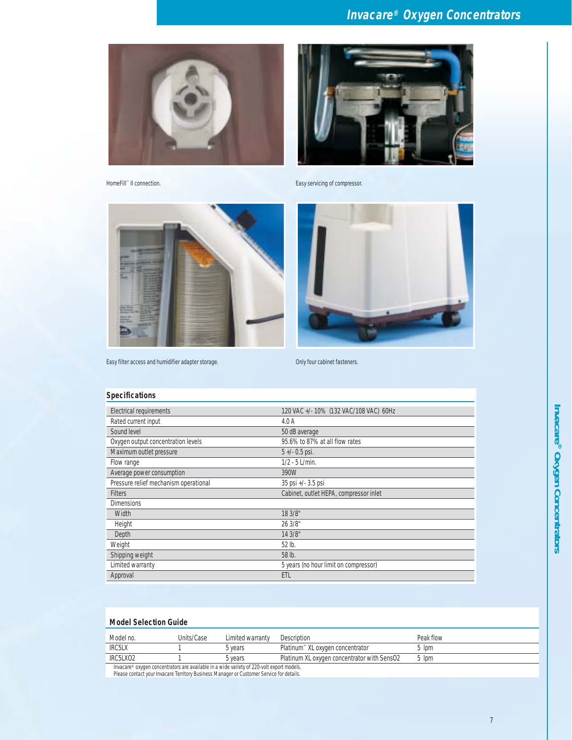

HomeFill™ II connection.



Easy servicing of compressor.



Easy filter access and humidifier adapter storage.



Only four cabinet fasteners.

# **Specifications**

| <b>Electrical requirements</b>        | 120 VAC +/- 10% (132 VAC/108 VAC) 60Hz |
|---------------------------------------|----------------------------------------|
| Rated current input                   | 4.0A                                   |
| Sound level                           | 50 dB average                          |
| Oxygen output concentration levels    | 95.6% to 87% at all flow rates         |
| Maximum outlet pressure               | $5 + (-0.5)$ psi.                      |
| Flow range                            | $1/2 - 5$ L/min.                       |
| Average power consumption             | 390W                                   |
| Pressure relief mechanism operational | $35$ psi $+/- 3.5$ psi                 |
| <b>Filters</b>                        | Cabinet, outlet HEPA, compressor inlet |
| <b>Dimensions</b>                     |                                        |
| Width                                 | 18 3/8"                                |
| Height                                | 26 3/8"                                |
| Depth                                 | 14 3/8"                                |
| Weight                                | 52 lb.                                 |
| Shipping weight                       | 58 lb.                                 |
| Limited warranty                      | 5 years (no hour limit on compressor)  |
| Approval                              | ETL                                    |

## **Model Selection Guide**

| Model no.                                                                                 | Units/Case | Limited warranty | Description                                 | Peak flow |
|-------------------------------------------------------------------------------------------|------------|------------------|---------------------------------------------|-----------|
| <b>IRC5LX</b>                                                                             |            | 5 vears          | Platinum™ XL oxygen concentrator            | 5 Ipm     |
| IRC5LXO2                                                                                  |            | 5 vears          | Platinum XL oxygen concentrator with SensO2 | 5 Ipm     |
| Invadare® ovvideo concentrators are available in a wide variety of 220-volt export models |            |                  |                                             |           |

Invacare® oxygen concentrators are available in a wide variety of 220-volt export models. Please contact your Invacare Territory Business Manager or Customer Service for details.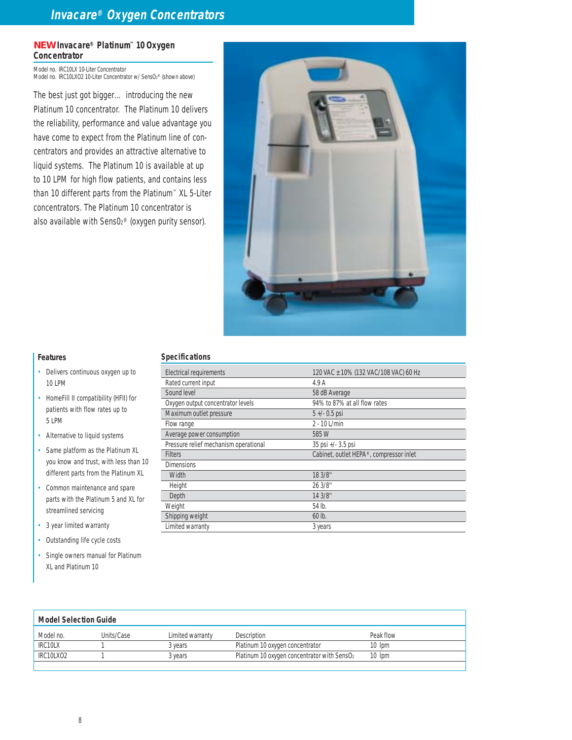# **NEW Invacare® Platinum™ 10 Oxygen Concentrator**

Model no. IRC10LX 10-Liter Concentrator Model no. IRC10LXO2 10-Liter Concentrator w/ SensO<sub>2</sub>® (shown above)

The best just got bigger… introducing the new Platinum 10 concentrator. The Platinum 10 delivers the reliability, performance and value advantage you have come to expect from the Platinum line of concentrators and provides an attractive alternative to liquid systems. The Platinum 10 is available at up to 10 LPM for high flow patients, and contains less than 10 different parts from the Platinum™ XL 5-Liter concentrators. The Platinum 10 concentrator is also available with Sens02 ® (oxygen purity sensor).



#### **Features**

- Delivers continuous oxygen up to 10 LPM
- HomeFill II compatibility (HFII) for patients with flow rates up to 5 LPM
- Alternative to liquid systems
- Same platform as the Platinum XL you know and trust, with less than 10 different parts from the Platinum XL
- Common maintenance and spare parts with the Platinum 5 and XL for streamlined servicing
- 3 year limited warranty
- Outstanding life cycle costs
- Single owners manual for Platinum XL and Platinum 10

## **Specifications**

| <b>Electrical requirements</b>        | 120 VAC ± 10% (132 VAC/108 VAC) 60 Hz   |
|---------------------------------------|-----------------------------------------|
| Rated current input                   | 4.9A                                    |
| Sound level                           | 58 dB Average                           |
| Oxygen output concentrator levels     | 94% to 87% at all flow rates            |
| Maximum outlet pressure               | $5 + (-0.5)$ psi                        |
| Flow range                            | $2 - 101 / min$                         |
| Average power consumption             | 585 W                                   |
| Pressure relief mechanism operational | 35 psi +/- 3.5 psi                      |
| <b>Filters</b>                        | Cabinet, outlet HEPA®, compressor inlet |
| <b>Dimensions</b>                     |                                         |
| Width                                 | 18 3/8"                                 |
| Height                                | 26 3/8"                                 |
| Depth                                 | 14 3/8"                                 |
| Weight                                | 54 lb.                                  |
| Shipping weight                       | 60 lb.                                  |
| Limited warranty                      | 3 years                                 |

| <b>Model Selection Guide</b> |            |                  |                                                         |           |  |
|------------------------------|------------|------------------|---------------------------------------------------------|-----------|--|
| Model no.                    | Units/Case | Limited warranty | Description                                             | Peak flow |  |
| IRC10LX                      |            | 3 vears          | Platinum 10 oxygen concentrator                         | $10$ lpm  |  |
| IRC10LXO2                    |            | 3 vears          | Platinum 10 oxygen concentrator with SensO <sub>2</sub> | $10$ lpm  |  |
|                              |            |                  |                                                         |           |  |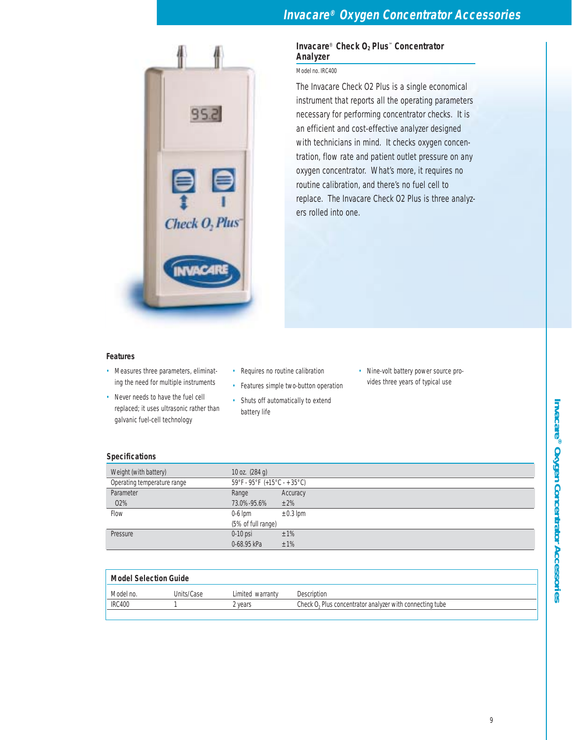

# **Invacare**® **Check O2 Plus**™ **Concentrator Analyzer**

# Model no. IRC400

The Invacare Check O2 Plus is a single economical instrument that reports all the operating parameters necessary for performing concentrator checks. It is an efficient and cost-effective analyzer designed with technicians in mind. It checks oxygen concentration, flow rate and patient outlet pressure on any oxygen concentrator. What's more, it requires no routine calibration, and there's no fuel cell to replace. The Invacare Check O2 Plus is three analyzers rolled into one.

#### **Features**

- Measures three parameters, eliminating the need for multiple instruments
- Never needs to have the fuel cell replaced; it uses ultrasonic rather than galvanic fuel-cell technology
- Requires no routine calibration
- Features simple two-button operation
- Shuts off automatically to extend battery life
- Nine-volt battery power source provides three years of typical use

#### **Specifications**

| Weight (with battery)       | 10 oz. $(284 g)$                                                        |               |
|-----------------------------|-------------------------------------------------------------------------|---------------|
| Operating temperature range | $59^{\circ}$ F - 95 $^{\circ}$ F (+15 $^{\circ}$ C - + 35 $^{\circ}$ C) |               |
| Parameter                   | Range                                                                   | Accuracy      |
| 02%                         | 73.0%-95.6%                                                             | $±2\%$        |
| Flow                        | $0-6$ lpm                                                               | $\pm$ 0.3 lpm |
|                             | (5% of full range)                                                      |               |
| Pressure                    | $0-10$ psi                                                              | $±1\%$        |
|                             | 0-68.95 kPa                                                             | $±1\%$        |

| Model Selection Guide |            |                  |                                                          |  |  |
|-----------------------|------------|------------------|----------------------------------------------------------|--|--|
| Model no.             | Units/Case | Limited warranty | Description                                              |  |  |
| <b>IRC400</b>         |            | ? vears          | Check O. Plus concentrator analyzer with connecting tube |  |  |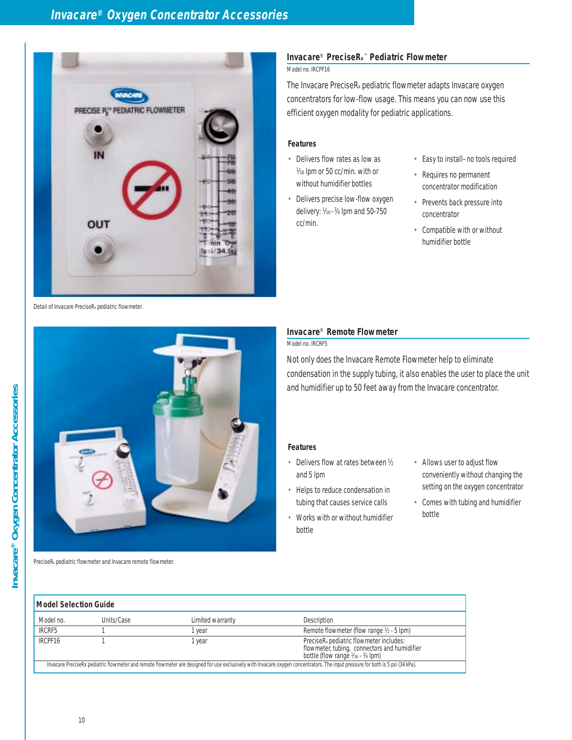

Detail of Invacare PreciseRx pediatric flowmeter.

# **Invacare**® **PreciseRx**™ **Pediatric Flowmeter**

Model no. IRCPF16

The Invacare PreciseRx pediatric flowmeter adapts Invacare oxygen concentrators for low-flow usage. This means you can now use this efficient oxygen modality for pediatric applications.

# **Features**

- Delivers flow rates as low as 1 ⁄16 lpm or 50 cc/min. with or without humidifier bottles
- Delivers precise low-flow oxygen delivery: 1 ⁄16 - <sup>3</sup> ⁄4 lpm and 50-750 cc/min.
- Easy to install–no tools required
- Requires no permanent concentrator modification
- Prevents back pressure into concentrator
- Compatible with or without humidifier bottle

#### **Invacare**® **Remote Flowmeter**

Model no. IRCRF5

Not only does the Invacare Remote Flowmeter help to eliminate condensation in the supply tubing, it also enables the user to place the unit and humidifier up to 50 feet away from the Invacare concentrator.

#### **Features**

- Delivers flow at rates between 1/2 and 5 lpm
- Helps to reduce condensation in tubing that causes service calls
- Works with or without humidifier bottle
- Allows user to adjust flow conveniently without changing the setting on the oxygen concentrator
- Comes with tubing and humidifier bottle

PreciseRx pediatric flowmeter and Invacare remote flowmeter.

| Model no.                                                                                                                                                                       | Units/Case | Limited warranty | <b>Description</b>                                                                                                                                           |  |
|---------------------------------------------------------------------------------------------------------------------------------------------------------------------------------|------------|------------------|--------------------------------------------------------------------------------------------------------------------------------------------------------------|--|
| IRCRF5                                                                                                                                                                          |            | vear             | Remote flowmeter (flow range $\frac{1}{2}$ - 5 lpm)                                                                                                          |  |
| IRCPF16                                                                                                                                                                         |            | l vear           | PreciseR <sub>x</sub> pediatric flowmeter includes:<br>flowmeter, tubing, connectors and humidifier<br>bottle (flow range $\frac{1}{6}$ - $\frac{3}{4}$ lpm) |  |
| Invacare PreciseRx pediatric flowmeter and remote flowmeter are designed for use exclusively with Invacare oxygen concentrators. The input pressure for both is 5 psi (34 kPa). |            |                  |                                                                                                                                                              |  |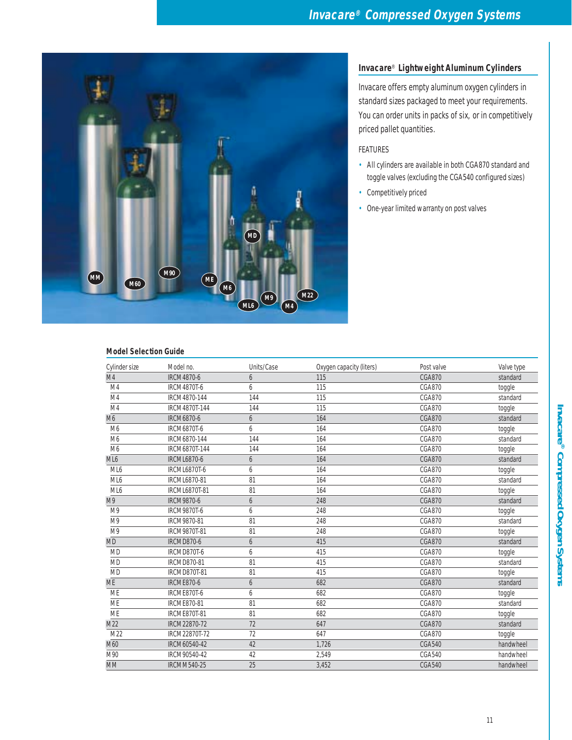

# **Invacare**® **Lightweight Aluminum Cylinders**

Invacare offers empty aluminum oxygen cylinders in standard sizes packaged to meet your requirements. You can order units in packs of six, or in competitively priced pallet quantities.

# FEATURES

- All cylinders are available in both CGA870 standard and toggle valves (excluding the CGA540 configured sizes)
- Competitively priced
- One-year limited warranty on post valves

| Cylinder size          | Model no.            | Units/Case | Oxygen capacity (liters) | Post valve    | Valve type |
|------------------------|----------------------|------------|--------------------------|---------------|------------|
| M4                     | <b>IRCM4870-6</b>    | 6          | 115                      | <b>CGA870</b> | standard   |
| M4                     | <b>IRCM4870T-6</b>   | 6          | 115                      | <b>CGA870</b> | toggle     |
| M4                     | IRCM4870-144         | 144        | 115                      | <b>CGA870</b> | standard   |
| M <sub>4</sub>         | IRCM4870T-144        | 144        | 115                      | <b>CGA870</b> | toggle     |
| M <sub>6</sub>         | <b>IRCM6870-6</b>    | 6          | 164                      | <b>CGA870</b> | standard   |
| M <sub>6</sub>         | <b>IRCM6870T-6</b>   | 6          | 164                      | <b>CGA870</b> | toggle     |
| M6                     | IRCM6870-144         | 144        | 164                      | <b>CGA870</b> | standard   |
| M <sub>6</sub>         | IRCM6870T-144        | 144        | 164                      | <b>CGA870</b> | toggle     |
| ML6                    | <b>IRCML6870-6</b>   | 6          | 164                      | <b>CGA870</b> | standard   |
| ML <sub>6</sub>        | <b>IRCML6870T-6</b>  | 6          | 164                      | <b>CGA870</b> | toggle     |
| ML6                    | <b>IRCML6870-81</b>  | 81         | 164                      | <b>CGA870</b> | standard   |
| ML <sub>6</sub>        | <b>IRCML6870T-81</b> | 81         | 164                      | <b>CGA870</b> | toggle     |
| M9                     | <b>IRCM9870-6</b>    | 6          | 248                      | <b>CGA870</b> | standard   |
| M <sub>9</sub>         | <b>IRCM9870T-6</b>   | 6          | 248                      | <b>CGA870</b> | toggle     |
| M <sub>9</sub>         | IRCM9870-81          | 81         | 248                      | <b>CGA870</b> | standard   |
| M <sub>9</sub>         | IRCM9870T-81         | 81         | 248                      | CGA870        | toggle     |
| <b>MD</b>              | <b>IRCMD870-6</b>    | 6          | 415                      | <b>CGA870</b> | standard   |
| <b>MD</b>              | IRCMD870T-6          | 6          | 415                      | <b>CGA870</b> | toggle     |
| <b>MD</b>              | <b>IRCMD870-81</b>   | 81         | 415                      | <b>CGA870</b> | standard   |
| <b>MD</b>              | <b>IRCMD870T-81</b>  | 81         | 415                      | <b>CGA870</b> | toggle     |
| $\overline{\text{ME}}$ | <b>IRCME870-6</b>    | 6          | 682                      | <b>CGA870</b> | standard   |
| <b>ME</b>              | IRCME870T-6          | 6          | 682                      | <b>CGA870</b> | toggle     |
| ME                     | <b>IRCME870-81</b>   | 81         | 682                      | <b>CGA870</b> | standard   |
| <b>ME</b>              | <b>IRCME870T-81</b>  | 81         | 682                      | <b>CGA870</b> | toggle     |
| M22                    | IRCM22870-72         | 72         | 647                      | <b>CGA870</b> | standard   |
| M22                    | IRCM22870T-72        | 72         | 647                      | <b>CGA870</b> | toggle     |
| M60                    | IRCM60540-42         | 42         | 1,726                    | <b>CGA540</b> | handwheel  |
| M90                    | IRCM90540-42         | 42         | 2,549                    | <b>CGA540</b> | handwheel  |
| <b>MM</b>              | <b>IRCMM540-25</b>   | 25         | 3,452                    | <b>CGA540</b> | handwheel  |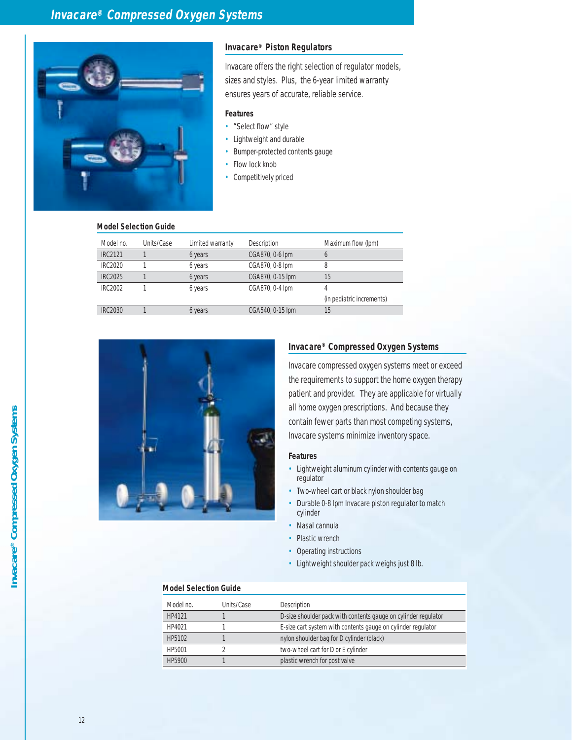

# **Invacare® Piston Regulators**

Invacare offers the right selection of regulator models, sizes and styles. Plus, the 6-year limited warranty ensures years of accurate, reliable service.

# **Features**

- "Select flow" style
- Lightweight and durable
- Bumper-protected contents gauge
- Flow lock knob
- Competitively priced

#### **Model Selection Guide**

| Model no.      | Units/Case | Limited warranty | Description      | Maximum flow (Ipm)        |
|----------------|------------|------------------|------------------|---------------------------|
| <b>IRC2121</b> |            | 6 years          | CGA870, 0-6 lpm  | O                         |
| <b>IRC2020</b> |            | 6 years          | CGA870, 0-8 lpm  | 8                         |
| <b>IRC2025</b> |            | 6 years          | CGA870, 0-15 lpm | 15                        |
| IRC2002        |            | 6 years          | CGA870, 0-4 lpm  |                           |
|                |            |                  |                  | (in pediatric increments) |
| <b>IRC2030</b> |            | 6 years          | CGA540, 0-15 lpm | 15                        |
|                |            |                  |                  |                           |



# **Invacare® Compressed Oxygen Systems**

Invacare compressed oxygen systems meet or exceed the requirements to support the home oxygen therapy patient and provider. They are applicable for virtually all home oxygen prescriptions. And because they contain fewer parts than most competing systems, Invacare systems minimize inventory space.

#### **Features**

- Lightweight aluminum cylinder with contents gauge on regulator
- Two-wheel cart or black nylon shoulder bag
- Durable 0-8 lpm Invacare piston regulator to match cylinder
- Nasal cannula
- Plastic wrench
- Operating instructions
- Lightweight shoulder pack weighs just 8 lb.

| Model no. | Units/Case | Description                                                    |
|-----------|------------|----------------------------------------------------------------|
| HP4121    |            | D-size shoulder pack with contents gauge on cylinder regulator |
| HP4021    |            | E-size cart system with contents gauge on cylinder regulator   |
| HP5102    |            | nylon shoulder bag for D cylinder (black)                      |
| HP5001    |            | two-wheel cart for D or E cylinder                             |
| HP5900    |            | plastic wrench for post valve                                  |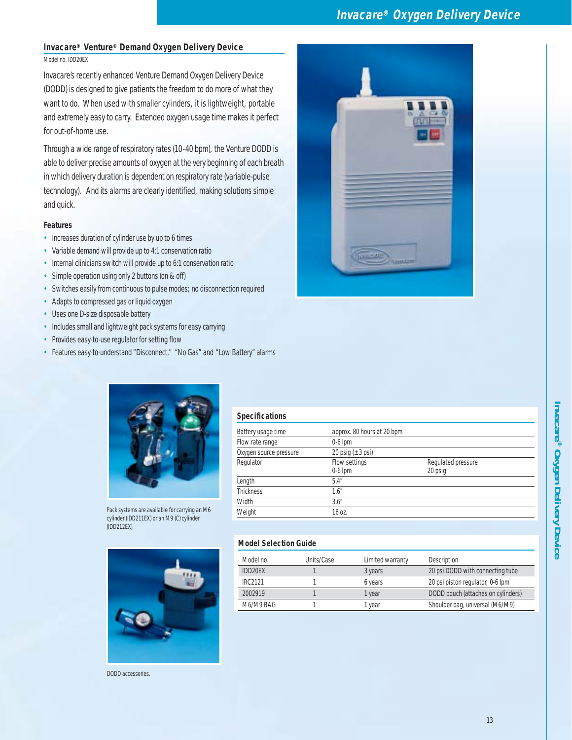# **Invacare® Oxygen Delivery Device**

# **Invacare® Venture® Demand Oxygen Delivery Device**

Model no. IDD20EX

Invacare's recently enhanced Venture Demand Oxygen Delivery Device (DODD) is designed to give patients the freedom to do more of what they want to do. When used with smaller cylinders, it is lightweight, portable and extremely easy to carry. Extended oxygen usage time makes it perfect for out-of-home use.

Through a wide range of respiratory rates (10-40 bpm), the Venture DODD is able to deliver precise amounts of oxygen at the very beginning of each breath in which delivery duration is dependent on respiratory rate (variable-pulse technology). And its alarms are clearly identified, making solutions simple and quick.

## **Features**

- Increases duration of cylinder use by up to 6 times
- Variable demand will provide up to 4:1 conservation ratio
- Internal clinicians switch will provide up to 6:1 conservation ratio
- Simple operation using only 2 buttons (on & off)
- Switches easily from continuous to pulse modes; no disconnection required
- Adapts to compressed gas or liquid oxygen
- Uses one D-size disposable battery
- Includes small and lightweight pack systems for easy carrying
- Provides easy-to-use regulator for setting flow
- Features easy-to-understand "Disconnect," "No Gas" and "Low Battery" alarms



Pack systems are available for carrying an M6 cylinder (IDD211EX) or an M9 (C) cylinder (IDD212EX).



DODD accessories.



| Battery usage time     | approx. 80 hours at 20 bpm |                               |  |
|------------------------|----------------------------|-------------------------------|--|
| Flow rate range        | $0-6$ lpm                  |                               |  |
| Oxygen source pressure | 20 psig $(\pm 3$ psi)      |                               |  |
| Regulator              | Flow settings<br>$0-6$ lpm | Regulated pressure<br>20 psig |  |
| Length                 | 5.4"                       |                               |  |
| Thickness              | 1.6"                       |                               |  |
| Width                  | 3.6"                       |                               |  |
| Weight                 | 16 oz.                     |                               |  |
|                        |                            |                               |  |

| Model no.      | Units/Case | Limited warranty | <b>Description</b>                 |
|----------------|------------|------------------|------------------------------------|
| <b>IDD20FX</b> |            | 3 years          | 20 psi DODD with connecting tube   |
| IRC2121        |            | 6 years          | 20 psi piston regulator, 0-6 lpm   |
| 2002919        |            | 1 vear           | DODD pouch (attaches on cylinders) |
| M6/M9 BAG      |            | l vear           | Shoulder bag, universal (M6/M9)    |

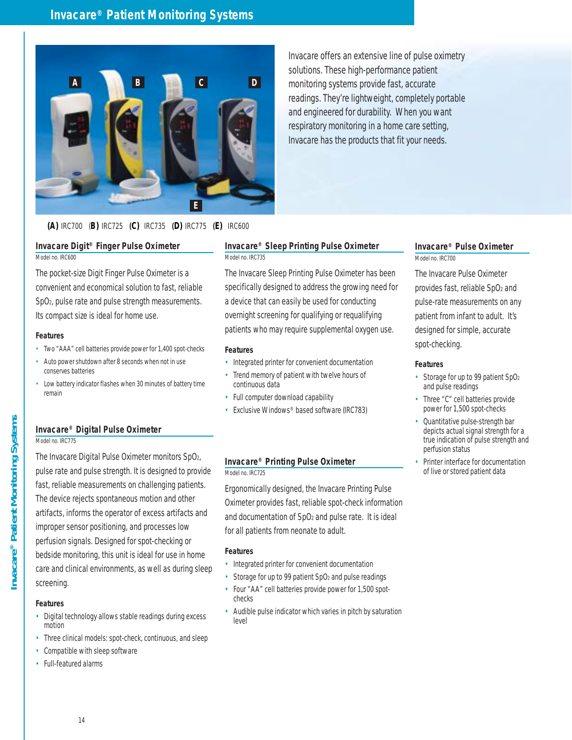

Invacare offers an extensive line of pulse oximetry solutions. These high-performance patient monitoring systems provide fast, accurate readings. They're lightweight, completely portable and engineered for durability. When you want respiratory monitoring in a home care setting, Invacare has the products that fit your needs.

# **(A)** IRC700 (**B)** IRC725 **(C)** IRC735 **(D)** IRC775 **(E)** IRC600

# **Invacare Digit® Finger Pulse Oximeter** Model no. IRC600

The pocket-size Digit Finger Pulse Oximeter is a convenient and economical solution to fast, reliable SpO2, pulse rate and pulse strength measurements. Its compact size is ideal for home use.

#### **Features**

- Two "AAA" cell batteries provide power for 1,400 spot-checks
- Auto power shutdown after 8 seconds when not in use conserves batteries
- Low battery indicator flashes when 30 minutes of battery time remain

#### **Invacare® Sleep Printing Pulse Oximeter** Model no. IRC735

The Invacare Sleep Printing Pulse Oximeter has been specifically designed to address the growing need for a device that can easily be used for conducting overnight screening for qualifying or requalifying patients who may require supplemental oxygen use.

#### **Features**

- Integrated printer for convenient documentation
- Trend memory of patient with twelve hours of continuous data
- Full computer download capability
- Exclusive Windows<sup>®</sup> based software (IRC783)

# **Invacare® Printing Pulse Oximeter**

Model no. **IRC725** 

Ergonomically designed, the Invacare Printing Pulse Oximeter provides fast, reliable spot-check information and documentation of SpO<sub>2</sub> and pulse rate. It is ideal for all patients from neonate to adult.

#### **Features**

- Integrated printer for convenient documentation
- Storage for up to 99 patient SpO<sub>2</sub> and pulse readings
- Four "AA" cell batteries provide power for 1,500 spotchecks
- Audible pulse indicator which varies in pitch by saturation level

# **Invacare® Pulse Oximeter**

Model no. IRC700

The Invacare Pulse Oximeter provides fast, reliable SpO<sub>2</sub> and pulse-rate measurements on any patient from infant to adult. It's designed for simple, accurate spot-checking.

#### **Features**

- Storage for up to 99 patient SpO<sub>2</sub> and pulse readings
- Three "C" cell batteries provide power for 1,500 spot-checks
- Quantitative pulse-strength bar depicts actual signal strength for a true indication of pulse strength and perfusion status
- Printer interface for documentation of live or stored patient data

# **Invacare® Digital Pulse Oximeter**

Model no. IRC775

The Invacare Digital Pulse Oximeter monitors SpO2, pulse rate and pulse strength. It is designed to provide fast, reliable measurements on challenging patients. The device rejects spontaneous motion and other artifacts, informs the operator of excess artifacts and improper sensor positioning, and processes low perfusion signals. Designed for spot-checking or bedside monitoring, this unit is ideal for use in home care and clinical environments, as well as during sleep screening.

#### **Features**

- Digital technology allows stable readings during excess motion
- Three clinical models: spot-check, continuous, and sleep
- Compatible with sleep software
- Full-featured alarms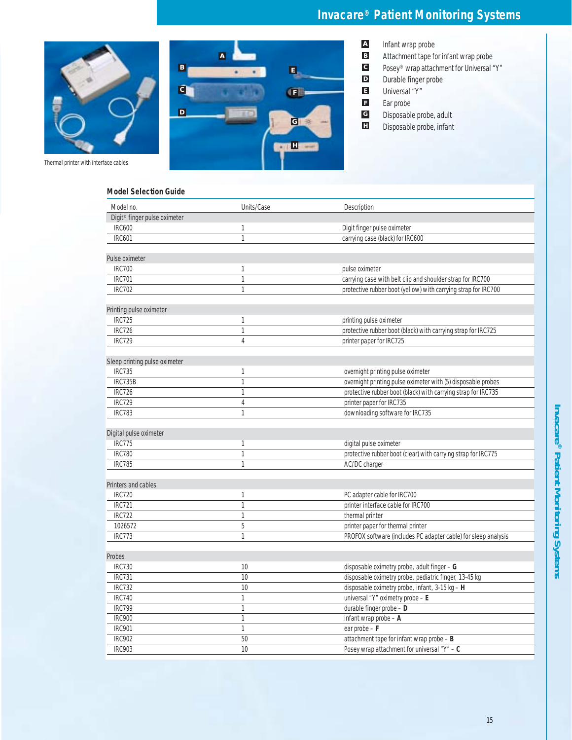# **Invacare® Patient Monitoring Systems**





- Infant wrap probe
- Attachment tape for infant wrap probe
- Posey® wrap attachment for Universal "Y"
- Durable finger probe **D**
	- Universal "Y"
- Ear probe **F**
	- Disposable probe, adult
	- Disposable probe, infant

Thermal printer with interface cables.

| Model no.                                | Units/Case      | Description                                                    |
|------------------------------------------|-----------------|----------------------------------------------------------------|
| Digit <sup>®</sup> finger pulse oximeter |                 |                                                                |
| <b>IRC600</b>                            | 1               | Digit finger pulse oximeter                                    |
| <b>IRC601</b>                            | $\overline{1}$  | carrying case (black) for IRC600                               |
|                                          |                 |                                                                |
| Pulse oximeter                           |                 |                                                                |
| <b>IRC700</b>                            | 1               | pulse oximeter                                                 |
| <b>IRC701</b>                            | 1               | carrying case with belt clip and shoulder strap for IRC700     |
| <b>IRC702</b>                            | 1               | protective rubber boot (yellow) with carrying strap for IRC700 |
|                                          |                 |                                                                |
| Printing pulse oximeter                  |                 |                                                                |
| <b>IRC725</b>                            | 1               | printing pulse oximeter                                        |
| <b>IRC726</b>                            | 1               | protective rubber boot (black) with carrying strap for IRC725  |
| <b>IRC729</b>                            | 4               | printer paper for IRC725                                       |
|                                          |                 |                                                                |
| Sleep printing pulse oximeter            |                 |                                                                |
| <b>IRC735</b>                            | 1               | overnight printing pulse oximeter                              |
| IRC735B                                  | 1               | overnight printing pulse oximeter with (5) disposable probes   |
| <b>IRC726</b>                            | $\mathbf{1}$    | protective rubber boot (black) with carrying strap for IRC735  |
| <b>IRC729</b>                            | $\overline{4}$  | printer paper for IRC735                                       |
| <b>IRC783</b>                            | 1               | downloading software for IRC735                                |
|                                          |                 |                                                                |
| Digital pulse oximeter                   |                 |                                                                |
| <b>IRC775</b>                            | 1               | digital pulse oximeter                                         |
| <b>IRC780</b>                            | $\mathbf{1}$    | protective rubber boot (clear) with carrying strap for IRC775  |
| <b>IRC785</b>                            | 1               | AC/DC charger                                                  |
|                                          |                 |                                                                |
| Printers and cables                      |                 |                                                                |
| <b>IRC720</b>                            | 1               | PC adapter cable for IRC700                                    |
| <b>IRC721</b>                            | $\mathbf{1}$    | printer interface cable for IRC700                             |
| IRC722                                   | 1               | thermal printer                                                |
| 1026572                                  | 5               | printer paper for thermal printer                              |
| <b>IRC773</b>                            | 1               | PROFOX software (includes PC adapter cable) for sleep analysis |
|                                          |                 |                                                                |
| Probes                                   |                 |                                                                |
| <b>IRC730</b>                            | 10              | disposable oximetry probe, adult finger $- G$                  |
| <b>IRC731</b>                            | 10              | disposable oximetry probe, pediatric finger, 13-45 kg          |
| <b>IRC732</b>                            | 10              | disposable oximetry probe, infant, $3-15$ kg - $H$             |
| <b>IRC740</b>                            | 1               | universal "Y" oximetry probe $- E$                             |
| IRC799                                   | 1               | durable finger probe $- D$                                     |
| <b>IRC900</b>                            | 1               | infant wrap probe $-$ A                                        |
| <b>IRC901</b>                            | 1               | ear probe $- F$                                                |
| <b>IRC902</b>                            | $\overline{50}$ | attachment tape for infant wrap probe $- B$                    |
| <b>IRC903</b>                            | 10              | Posey wrap attachment for universal " $Y'' - C$                |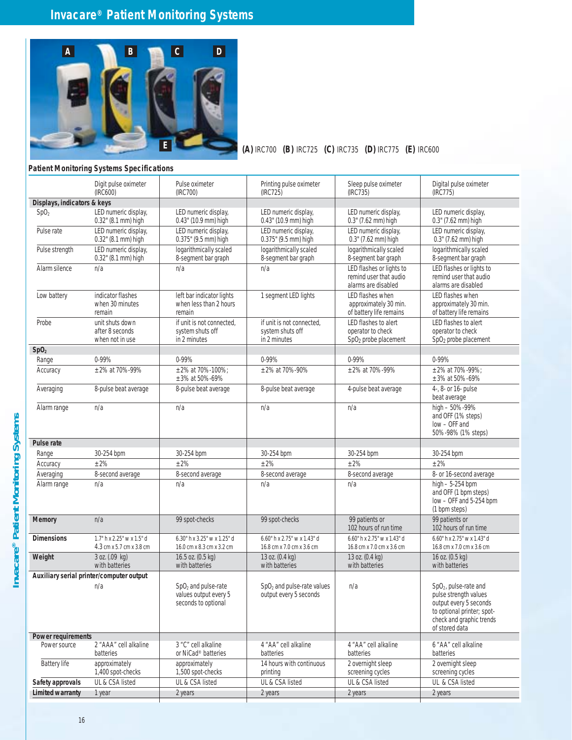

# **(A)** IRC700 **(B)** IRC725 **(C)** IRC735 **(D)** IRC775 **(E)** IRC600

#### **Patient Monitoring Systems Specifications**  Digit pulse oximeter Pulse oximeter Pulse oximeter Printing pulse oximeter Sleep pulse oximeter Digital pulse oximeter (IRC600) (IRC775) (IRC600) (IRC700) (IRC725) (IRC735) (IRC775) **Displays, indicators & keys** SpO<sub>2</sub> LED numeric display, LED numeric display, LED numeric display, LED numeric display, LED numeric display, LED numeric display, LED numeric display, LED numeric display, LED numeric display, LED numeric display, LED n 0.43" (10.9 mm) high 0.3" (7.62 mm) high 0.3" (7.62 mm) high 0.3" (7.62 mm) high 0.3" (7.62 mm) high 0.3" (7.62 mm) high 0.3" (7.62 mm) high 0.3" (7.62 mm) high 0.3" (7.62 mm) high 0.3" (7.62 mm) high 0.3" (7.62 mm) high 0 Pulse rate LED numeric display, LED numeric display, LED numeric display, LED numeric display, LED numeric display, LED numeric display, LED numeric display, LED numeric display, LED numeric display, LED numeric display, L 0.375" (9.5 mm) high Pulse strength LED numeric display, logarithmically scaled logarithmically scaled logarithmically scaled logarithmically scaled logarithmically scaled logarithmically scaled logarithmically scaled as egment bar graph as se 0.32" (8.1 mm) high 8-segment bar graph 8-segment bar graph 8-segment bar graph Alarm silence n/a n/a n/a LED flashes or lights to LED flashes or lights to remind user that audio alarms are disabled alarms are disabled Low battery indicator flashes | left bar indicator lights | 1 segment LED lights | LED flashes when | LED flashes when | LED flashes when | LED flashes when | left bar indicator lights | 1 segment LED lights | approximatel when 30 minutes when less than 2 hours approximately 30 min. approximately 30 min.<br>
Fremain and the memain and the mains of battery life remains of battery life remains of battery life remains of battery life remains Probe unit shuts down if unit is not connected, if unit is not connected, if unit is not connected, if unit is not connected, if unit is not connected, if unit is not connected, if unit is not connected, if unit is not con after 8 seconds system shuts off system shuts off seconds seconds operator to check operator to check operator when not in use in 2 minutes in 2 minutes in 2 minutes in 2 minutes SpO<sub>2</sub> probe placement SpO<sub>2</sub> probe placement **SpO2** Range 0-99% 0-99% 0-99% 0-99% 0-99% Accuracy ± 2% at 70%-99% ± 2% at 70%-100%; ± 2% at 70%-90% ± 2% at 70%-99% ± 2% at 70%-99%;  $± 3%$  at 50%-69% Averaging 8-pulse beat average 8-pulse beat average 8-pulse beat average 4-, 8- or 16-pulse beat average 4-, 8- or 16- pulse beat average Alarm range n/a n/a n/a n/a high – 50%-99% and OFF (1% steps) low – OFF and 50%-98% (1% steps) **Pulse rate** Range 30-254 bpm 30-254 bpm 30-254 bpm 30-254 bpm 30-254 bpm Accuracy  $\pm 2\%$   $\pm 2\%$   $\pm 2\%$   $\pm 2\%$   $\pm 2\%$   $\pm 2\%$   $\pm 2\%$ Averaging 8-second average 8-second average 8-second average 8-second average 8-second average 8- or 16-second average Alarm range n/a n/a n/a n/a high – 5-254 bpm and OFF (1 bpm steps) low – OFF and 5-254 bpm (1 bpm steps)<br>99 patients or **Memory** h/a  $\vert$  99 spot-checks  $\vert$  99 spot-checks  $\vert$  99 patients or  $\vert$  99 patients or 102 hours of run time 102 hours of run time **Dimensions** 1.7" h x 2.25" w x 1.5" d 6.30" h x 3.25" w x 1.25" d 6.60" h x 2.75" w x 1.43" d 6.60" h x 2.75" w x 1.43" d 6.60" h x 2.75" w x 1.43" d 6.60" h x 2.75" w x 1.43" d 6.60" h x 2.75" w x 1.43" d 6.60" h x 2.75" 4.3 cm x 5.7 cm x 3.8 cm  $\vert$  16.0 cm x 8.3 cm  $x$  3.2 cm 16.8 cm  $x$  3.6 cm 16.8 cm 16.8 cm 16.8 cm 16.8 cm 16.8 cm 16.8 cm 16.8 cm 16.8 cm **Weight** 3 oz. (.09 kg) 16.5 oz. (0.5 kg) 13 oz. (0.4 kg) 13 oz. (0.4 kg) 16 oz. (0.5 kg) with batteries | with batteries | with batteries | with batteries | with batteries **Auxiliary serial printer/computer output** n/a SpO<sub>2</sub> and pulse-rate SpO<sub>2</sub> and pulse-rate values n/a n/a SpO<sub>2</sub>, pulse-rate and<br>values output every 5 seconds n/a spontane values n/a spontane values values output every 5 seconds output every 5 seconds seconds to optional and the conditional output every 5 seconds to optional and the conditional output every 5 seconds to optional printer; spotcheck and graphic trends of stored data **Power requirements** Power source 2 "AAA" cell alkaline 3 "C" cell alkaline 4 "AA" cell alkaline 4 "AA" cell alkaline 6 "AA" cell alkaline batteries **batteries batteries batteries batteries batteries batteries batteries batteries** Battery life approximately approximately approximately approximately 1,500 spot-checks and the printing victor of the screening cycles are a screening cycles and the screening cycles and the screening cycles are a screenin 1,500 spot-checks | printing screening cycles **Safety approvals** UL & CSA listed UL & CSA listed UL & CSA listed UL & CSA listed UL & CSA listed UL & CSA listed **Limited warranty** 1 year **2** years 2 years 2 years 2 years 2 years 2 years 2 years 2 years 2 years 2 years 2 years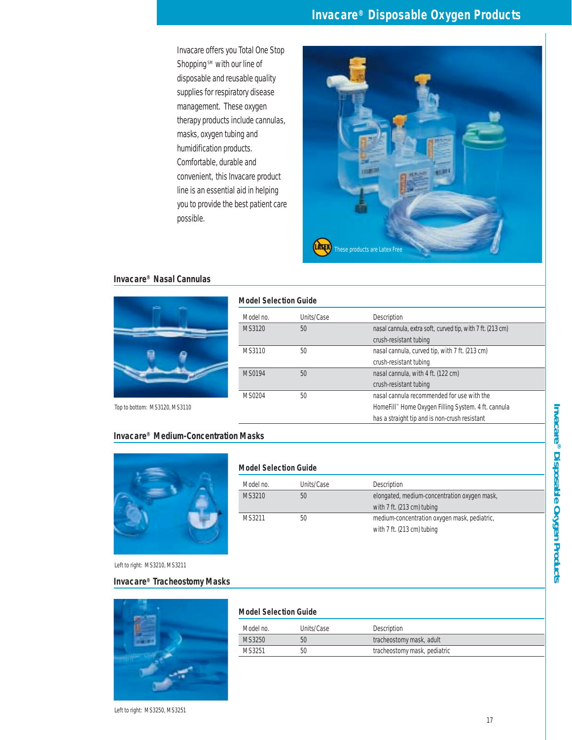# **Invacare® Disposable Oxygen Products**

Invacare offers you Total One Stop Shopping<sup>sM</sup> with our line of disposable and reusable quality supplies for respiratory disease management. These oxygen therapy products include cannulas, masks, oxygen tubing and humidification products. Comfortable, durable and convenient, this Invacare product line is an essential aid in helping you to provide the best patient care possible.



## **Invacare® Nasal Cannulas**



| <b>Model Selection Guide</b> |            |                                                            |
|------------------------------|------------|------------------------------------------------------------|
| Model no.                    | Units/Case | Description                                                |
| MS3120                       | 50         | nasal cannula, extra soft, curved tip, with 7 ft. (213 cm) |
|                              |            | crush-resistant tubing                                     |
| MS3110                       | 50         | nasal cannula, curved tip, with 7 ft. (213 cm)             |
|                              |            | crush-resistant tubing                                     |
| MS0194                       | 50         | nasal cannula, with 4 ft. (122 cm)                         |
|                              |            | crush-resistant tubing                                     |
| MS0204                       | 50         | nasal cannula recommended for use with the                 |
|                              |            | HomeFill™ Home Oxygen Filling System. 4 ft. cannula        |
|                              |            | has a straight tip and is non-crush resistant              |

# Top to bottom: MS3120, MS3110

#### **Invacare® Medium-Concentration Masks**



# **Model Selection Guide**

| Model no. | Units/Case | <b>Description</b>                           |
|-----------|------------|----------------------------------------------|
| MS3210    | 50         | elongated, medium-concentration oxygen mask, |
|           |            | with 7 ft. (213 cm) tubing                   |
| MS3211    | 50         | medium-concentration oxygen mask, pediatric, |
|           |            | with 7 ft. (213 cm) tubing                   |

Left to right: MS3210, MS3211

# **Invacare® Tracheostomy Masks**



| Model no. | Units/Case | Description                  |  |
|-----------|------------|------------------------------|--|
| MS3250    | 50         | tracheostomy mask, adult     |  |
| MS3251    | 50         | tracheostomy mask, pediatric |  |

Left to right: MS3250, MS3251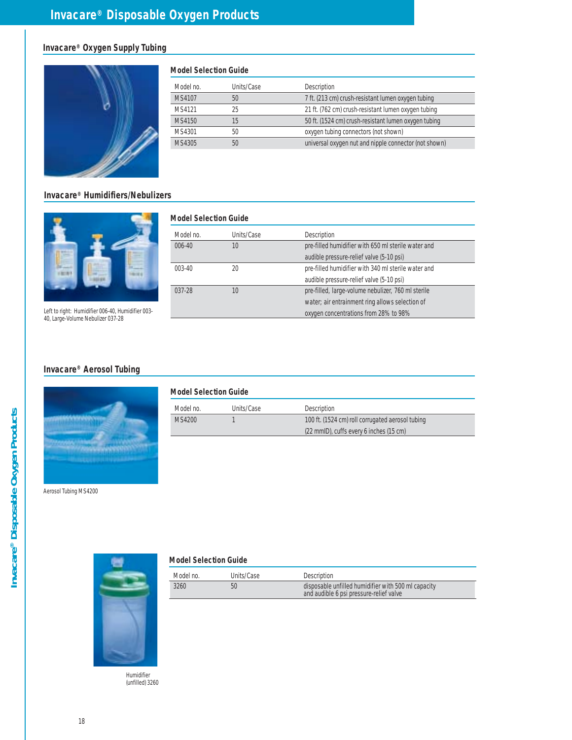# **Invacare® Oxygen Supply Tubing**



# **Invacare® Humidifiers/Nebulizers**



Left to right: Humidifier 006-40, Humidifier 003- 40, Large-Volume Nebulizer 037-28

#### **Model Selection Guide**

| Model no. | Units/Case | Description                                           |
|-----------|------------|-------------------------------------------------------|
| MS4107    | 50         | 7 ft. (213 cm) crush-resistant lumen oxygen tubing    |
| MS4121    | 25         | 21 ft. (762 cm) crush-resistant lumen oxygen tubing   |
| MS4150    | 15         | 50 ft. (1524 cm) crush-resistant lumen oxygen tubing  |
| MS4301    | 50         | oxygen tubing connectors (not shown)                  |
| MS4305    | 50         | universal oxygen nut and nipple connector (not shown) |

|            | <b>Model Selection Guide</b> |                                                     |  |  |
|------------|------------------------------|-----------------------------------------------------|--|--|
| Model no.  | Units/Case                   | Description                                         |  |  |
| $006 - 40$ | 10                           | pre-filled humidifier with 650 ml sterile water and |  |  |
|            |                              | audible pressure-relief valve (5-10 psi)            |  |  |
| 003-40     | 20                           | pre-filled humidifier with 340 ml sterile water and |  |  |
|            |                              | audible pressure-relief valve (5-10 psi)            |  |  |
| $037 - 28$ | 10                           | pre-filled, large-volume nebulizer, 760 ml sterile  |  |  |
|            |                              | water; air entrainment ring allows selection of     |  |  |
|            |                              | oxygen concentrations from 28% to 98%               |  |  |

# **Invacare® Aerosol Tubing**



Aerosol Tubing MS4200





Humidifier (unfilled) 3260 **Model Selection Guide**

**Model Selection Guide**

Model no. Units/Case Description

Model no. **Units/Case** Description

3260 50 disposable unfilled humidifier with 500 ml capacity

MS4200 1 1 100 ft. (1524 cm) roll corrugated aerosol tubing

and audible 6 psi pressure-relief valve

(22 mmID), cuffs every 6 inches (15 cm)

# Invacare® Disposable Oxygen Products **Invacare® Disposable Oxygen Products**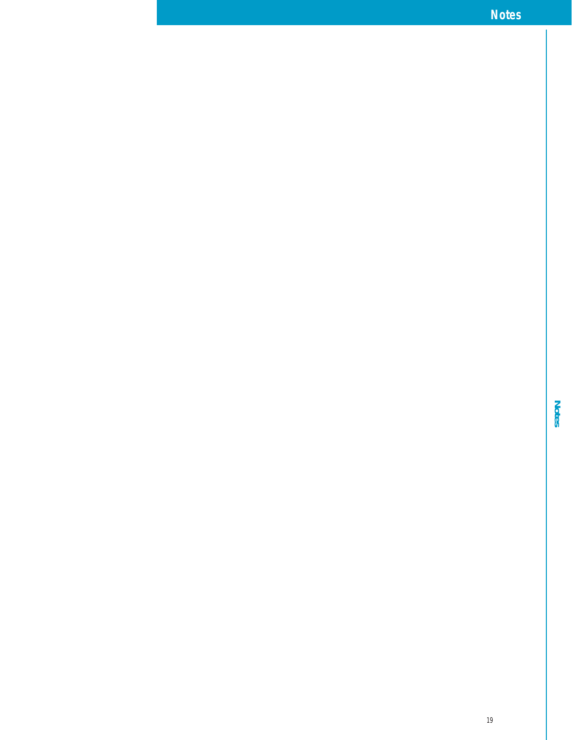**Notes**